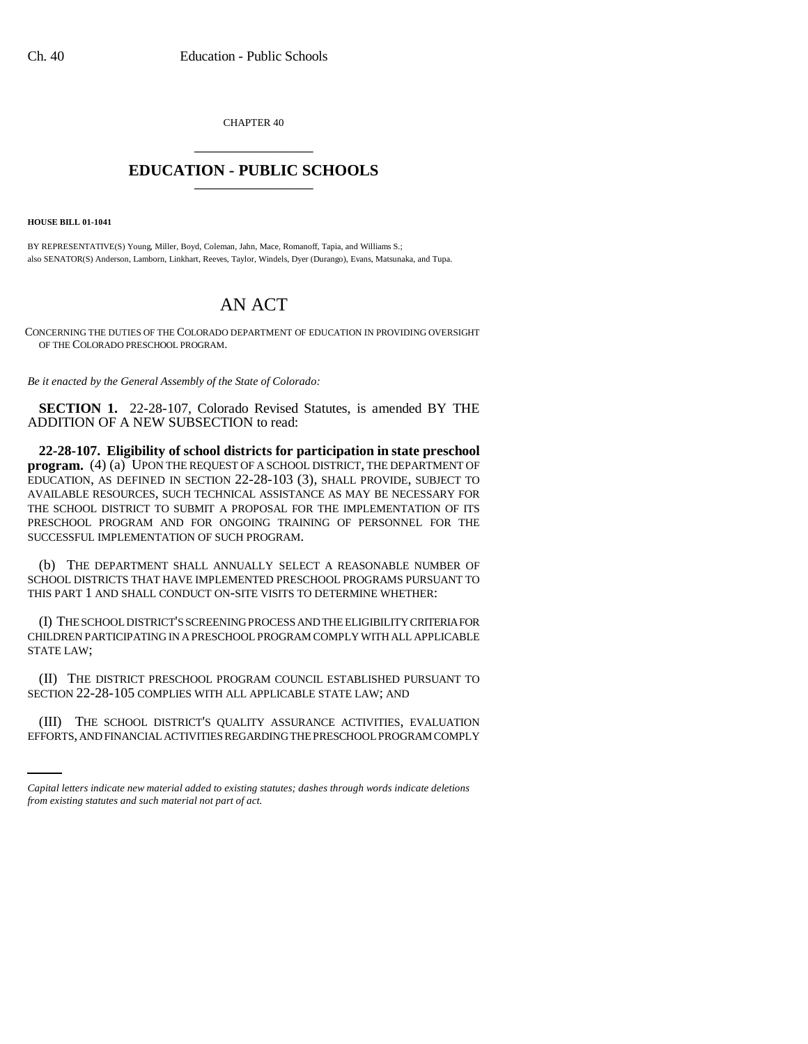CHAPTER 40 \_\_\_\_\_\_\_\_\_\_\_\_\_\_\_

## **EDUCATION - PUBLIC SCHOOLS** \_\_\_\_\_\_\_\_\_\_\_\_\_\_\_

**HOUSE BILL 01-1041**

BY REPRESENTATIVE(S) Young, Miller, Boyd, Coleman, Jahn, Mace, Romanoff, Tapia, and Williams S.; also SENATOR(S) Anderson, Lamborn, Linkhart, Reeves, Taylor, Windels, Dyer (Durango), Evans, Matsunaka, and Tupa.

## AN ACT

CONCERNING THE DUTIES OF THE COLORADO DEPARTMENT OF EDUCATION IN PROVIDING OVERSIGHT OF THE COLORADO PRESCHOOL PROGRAM.

*Be it enacted by the General Assembly of the State of Colorado:*

**SECTION 1.** 22-28-107, Colorado Revised Statutes, is amended BY THE ADDITION OF A NEW SUBSECTION to read:

**22-28-107. Eligibility of school districts for participation in state preschool program.** (4) (a) UPON THE REQUEST OF A SCHOOL DISTRICT, THE DEPARTMENT OF EDUCATION, AS DEFINED IN SECTION 22-28-103 (3), SHALL PROVIDE, SUBJECT TO AVAILABLE RESOURCES, SUCH TECHNICAL ASSISTANCE AS MAY BE NECESSARY FOR THE SCHOOL DISTRICT TO SUBMIT A PROPOSAL FOR THE IMPLEMENTATION OF ITS PRESCHOOL PROGRAM AND FOR ONGOING TRAINING OF PERSONNEL FOR THE SUCCESSFUL IMPLEMENTATION OF SUCH PROGRAM.

(b) THE DEPARTMENT SHALL ANNUALLY SELECT A REASONABLE NUMBER OF SCHOOL DISTRICTS THAT HAVE IMPLEMENTED PRESCHOOL PROGRAMS PURSUANT TO THIS PART 1 AND SHALL CONDUCT ON-SITE VISITS TO DETERMINE WHETHER:

(I) THE SCHOOL DISTRICT'S SCREENING PROCESS AND THE ELIGIBILITY CRITERIA FOR CHILDREN PARTICIPATING IN A PRESCHOOL PROGRAM COMPLY WITH ALL APPLICABLE STATE LAW;

(II) THE DISTRICT PRESCHOOL PROGRAM COUNCIL ESTABLISHED PURSUANT TO SECTION 22-28-105 COMPLIES WITH ALL APPLICABLE STATE LAW; AND

(III) THE SCHOOL DISTRICT'S QUALITY ASSURANCE ACTIVITIES, EVALUATION EFFORTS, AND FINANCIAL ACTIVITIES REGARDING THE PRESCHOOL PROGRAM COMPLY

*Capital letters indicate new material added to existing statutes; dashes through words indicate deletions from existing statutes and such material not part of act.*